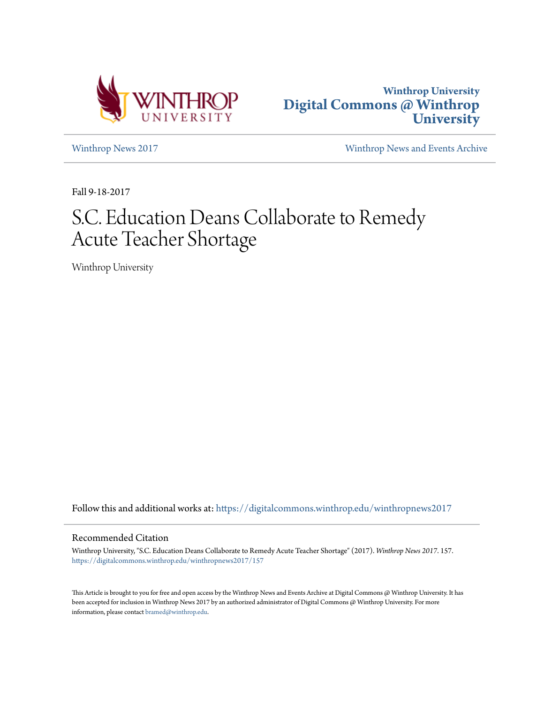



[Winthrop News 2017](https://digitalcommons.winthrop.edu/winthropnews2017?utm_source=digitalcommons.winthrop.edu%2Fwinthropnews2017%2F157&utm_medium=PDF&utm_campaign=PDFCoverPages) [Winthrop News and Events Archive](https://digitalcommons.winthrop.edu/winthropnewsarchives?utm_source=digitalcommons.winthrop.edu%2Fwinthropnews2017%2F157&utm_medium=PDF&utm_campaign=PDFCoverPages)

Fall 9-18-2017

# S.C. Education Deans Collaborate to Remedy Acute Teacher Shortage

Winthrop University

Follow this and additional works at: [https://digitalcommons.winthrop.edu/winthropnews2017](https://digitalcommons.winthrop.edu/winthropnews2017?utm_source=digitalcommons.winthrop.edu%2Fwinthropnews2017%2F157&utm_medium=PDF&utm_campaign=PDFCoverPages)

# Recommended Citation

Winthrop University, "S.C. Education Deans Collaborate to Remedy Acute Teacher Shortage" (2017). *Winthrop News 2017*. 157. [https://digitalcommons.winthrop.edu/winthropnews2017/157](https://digitalcommons.winthrop.edu/winthropnews2017/157?utm_source=digitalcommons.winthrop.edu%2Fwinthropnews2017%2F157&utm_medium=PDF&utm_campaign=PDFCoverPages)

This Article is brought to you for free and open access by the Winthrop News and Events Archive at Digital Commons @ Winthrop University. It has been accepted for inclusion in Winthrop News 2017 by an authorized administrator of Digital Commons @ Winthrop University. For more information, please contact [bramed@winthrop.edu](mailto:bramed@winthrop.edu).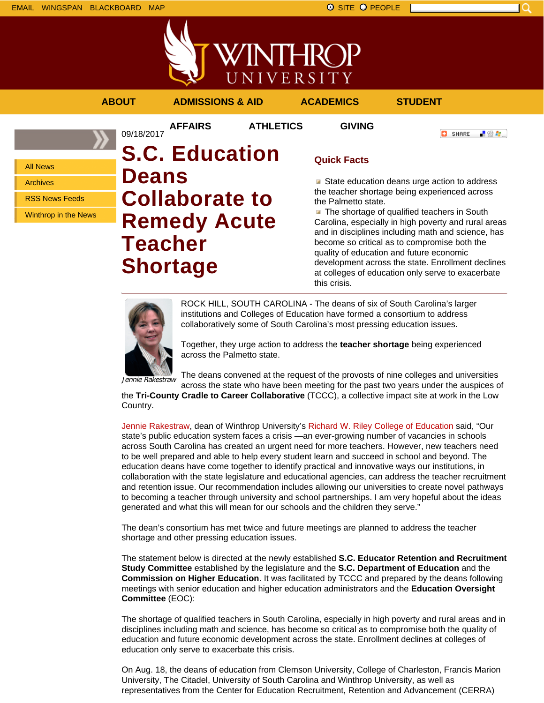

「验費」

**O** SHARE



# **ABOUT ADMISSIONS & AID ACADEMICS STUDENT**

**AFFAIRS ATHLETICS GIVING**

All News Archives

RSS News Feeds

Winthrop in the News

# 09/18/2017 **S.C. Education Deans Collaborate to Remedy Acute Teacher Shortage**

# **Quick Facts**

State education deans urge action to address the teacher shortage being experienced across the Palmetto state.

**The shortage of qualified teachers in South** Carolina, especially in high poverty and rural areas and in disciplines including math and science, has become so critical as to compromise both the quality of education and future economic development across the state. Enrollment declines at colleges of education only serve to exacerbate this crisis.



ROCK HILL, SOUTH CAROLINA - The deans of six of South Carolina's larger institutions and Colleges of Education have formed a consortium to address collaboratively some of South Carolina's most pressing education issues.

Together, they urge action to address the **teacher shortage** being experienced across the Palmetto state.

Jennie Rakestraw

The deans convened at the request of the provosts of nine colleges and universities across the state who have been meeting for the past two years under the auspices of

the **Tri-County Cradle to Career Collaborative** (TCCC), a collective impact site at work in the Low Country.

Jennie Rakestraw, dean of Winthrop University's Richard W. Riley College of Education said, "Our state's public education system faces a crisis —an ever-growing number of vacancies in schools across South Carolina has created an urgent need for more teachers. However, new teachers need to be well prepared and able to help every student learn and succeed in school and beyond. The education deans have come together to identify practical and innovative ways our institutions, in collaboration with the state legislature and educational agencies, can address the teacher recruitment and retention issue. Our recommendation includes allowing our universities to create novel pathways to becoming a teacher through university and school partnerships. I am very hopeful about the ideas generated and what this will mean for our schools and the children they serve."

The dean's consortium has met twice and future meetings are planned to address the teacher shortage and other pressing education issues.

The statement below is directed at the newly established **S.C. Educator Retention and Recruitment Study Committee** established by the legislature and the **S.C. Department of Education** and the **Commission on Higher Education**. It was facilitated by TCCC and prepared by the deans following meetings with senior education and higher education administrators and the **Education Oversight Committee** (EOC):

The shortage of qualified teachers in South Carolina, especially in high poverty and rural areas and in disciplines including math and science, has become so critical as to compromise both the quality of education and future economic development across the state. Enrollment declines at colleges of education only serve to exacerbate this crisis.

On Aug. 18, the deans of education from Clemson University, College of Charleston, Francis Marion University, The Citadel, University of South Carolina and Winthrop University, as well as representatives from the Center for Education Recruitment, Retention and Advancement (CERRA)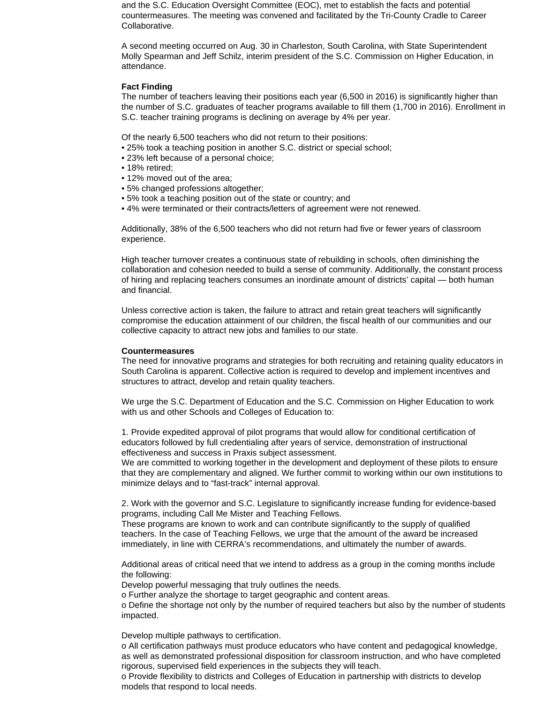and the S.C. Education Oversight Committee (EOC), met to establish the facts and potential countermeasures. The meeting was convened and facilitated by the Tri-County Cradle to Career Collaborative.

A second meeting occurred on Aug. 30 in Charleston, South Carolina, with State Superintendent Molly Spearman and Jeff Schilz, interim president of the S.C. Commission on Higher Education, in attendance.

## **Fact Finding**

The number of teachers leaving their positions each year (6,500 in 2016) is significantly higher than the number of S.C. graduates of teacher programs available to fill them (1,700 in 2016). Enrollment in S.C. teacher training programs is declining on average by 4% per year.

Of the nearly 6,500 teachers who did not return to their positions:

- 25% took a teaching position in another S.C. district or special school;
- 23% left because of a personal choice;
- 18% retired;
- 12% moved out of the area;
- 5% changed professions altogether;
- 5% took a teaching position out of the state or country; and
- 4% were terminated or their contracts/letters of agreement were not renewed.

Additionally, 38% of the 6,500 teachers who did not return had five or fewer years of classroom experience.

High teacher turnover creates a continuous state of rebuilding in schools, often diminishing the collaboration and cohesion needed to build a sense of community. Additionally, the constant process of hiring and replacing teachers consumes an inordinate amount of districts' capital — both human and financial.

Unless corrective action is taken, the failure to attract and retain great teachers will significantly compromise the education attainment of our children, the fiscal health of our communities and our collective capacity to attract new jobs and families to our state.

### **Countermeasures**

The need for innovative programs and strategies for both recruiting and retaining quality educators in South Carolina is apparent. Collective action is required to develop and implement incentives and structures to attract, develop and retain quality teachers.

We urge the S.C. Department of Education and the S.C. Commission on Higher Education to work with us and other Schools and Colleges of Education to:

1. Provide expedited approval of pilot programs that would allow for conditional certification of educators followed by full credentialing after years of service, demonstration of instructional effectiveness and success in Praxis subject assessment.

We are committed to working together in the development and deployment of these pilots to ensure that they are complementary and aligned. We further commit to working within our own institutions to minimize delays and to "fast-track" internal approval.

2. Work with the governor and S.C. Legislature to significantly increase funding for evidence-based programs, including Call Me Mister and Teaching Fellows.

These programs are known to work and can contribute significantly to the supply of qualified teachers. In the case of Teaching Fellows, we urge that the amount of the award be increased immediately, in line with CERRA's recommendations, and ultimately the number of awards.

Additional areas of critical need that we intend to address as a group in the coming months include the following:

Develop powerful messaging that truly outlines the needs.

o Further analyze the shortage to target geographic and content areas.

o Define the shortage not only by the number of required teachers but also by the number of students impacted.

Develop multiple pathways to certification.

o All certification pathways must produce educators who have content and pedagogical knowledge, as well as demonstrated professional disposition for classroom instruction, and who have completed rigorous, supervised field experiences in the subjects they will teach.

o Provide flexibility to districts and Colleges of Education in partnership with districts to develop models that respond to local needs.